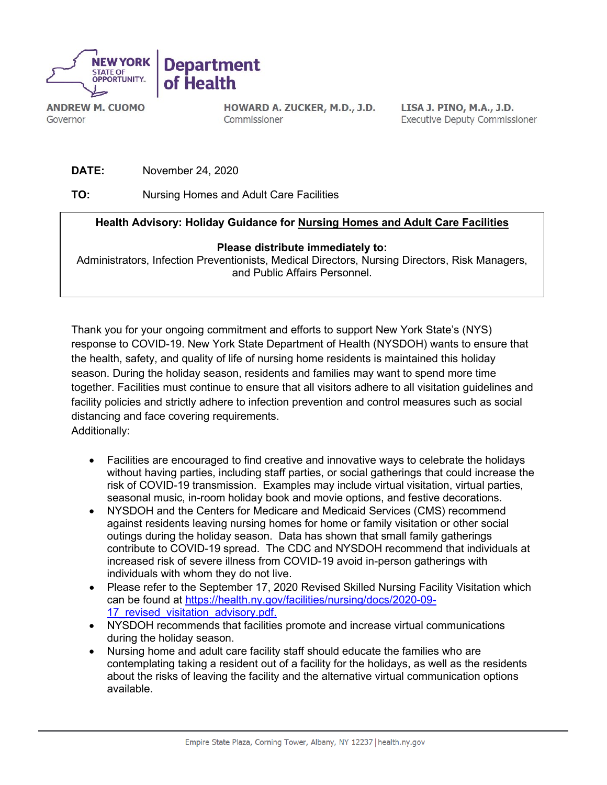

**ANDREW M. CUOMO** Governor

HOWARD A. ZUCKER, M.D., J.D. Commissioner

LISA J. PINO, M.A., J.D. **Executive Deputy Commissioner** 

**DATE:** November 24, 2020

**TO:** Nursing Homes and Adult Care Facilities

## **Health Advisory: Holiday Guidance for Nursing Homes and Adult Care Facilities**

## **Please distribute immediately to:**

Administrators, Infection Preventionists, Medical Directors, Nursing Directors, Risk Managers, and Public Affairs Personnel.

Thank you for your ongoing commitment and efforts to support New York State's (NYS) response to COVID-19. New York State Department of Health (NYSDOH) wants to ensure that the health, safety, and quality of life of nursing home residents is maintained this holiday season. During the holiday season, residents and families may want to spend more time together. Facilities must continue to ensure that all visitors adhere to all visitation guidelines and facility policies and strictly adhere to infection prevention and control measures such as social distancing and face covering requirements. Additionally:

- Facilities are encouraged to find creative and innovative ways to celebrate the holidays without having parties, including staff parties, or social gatherings that could increase the risk of COVID-19 transmission. Examples may include virtual visitation, virtual parties, seasonal music, in-room holiday book and movie options, and festive decorations.
- NYSDOH and the Centers for Medicare and Medicaid Services (CMS) recommend against residents leaving nursing homes for home or family visitation or other social outings during the holiday season. Data has shown that small family gatherings contribute to COVID-19 spread. The CDC and NYSDOH recommend that individuals at increased risk of severe illness from COVID-19 avoid in-person gatherings with individuals with whom they do not live.
- Please refer to the September 17, 2020 Revised Skilled Nursing Facility Visitation which can be found at [https://health.ny.gov/facilities/nursing/docs/2020-09-](https://health.ny.gov/facilities/nursing/docs/2020-09-17_revised_visitation_advisory.pdf) 17 revised visitation advisory.pdf.
- NYSDOH recommends that facilities promote and increase virtual communications during the holiday season.
- Nursing home and adult care facility staff should educate the families who are contemplating taking a resident out of a facility for the holidays, as well as the residents about the risks of leaving the facility and the alternative virtual communication options available.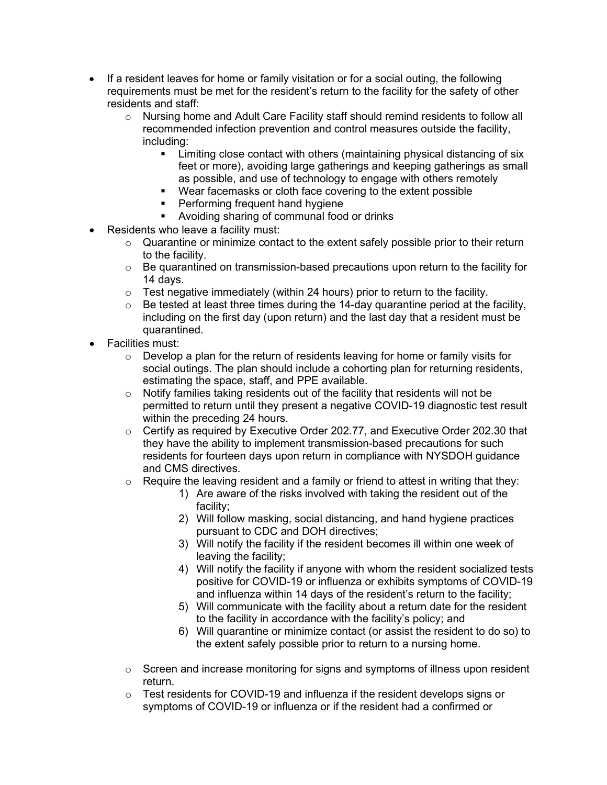- If a resident leaves for home or family visitation or for a social outing, the following requirements must be met for the resident's return to the facility for the safety of other residents and staff:
	- $\circ$  Nursing home and Adult Care Facility staff should remind residents to follow all recommended infection prevention and control measures outside the facility, including:
		- **EXECT** Limiting close contact with others (maintaining physical distancing of six feet or more), avoiding large gatherings and keeping gatherings as small as possible, and use of technology to engage with others remotely
		- Wear facemasks or cloth face covering to the extent possible
		- **Performing frequent hand hygiene**
		- Avoiding sharing of communal food or drinks
- Residents who leave a facility must:
	- o Quarantine or minimize contact to the extent safely possible prior to their return to the facility.
	- $\circ$  Be quarantined on transmission-based precautions upon return to the facility for 14 days.
	- $\circ$  Test negative immediately (within 24 hours) prior to return to the facility.
	- $\circ$  Be tested at least three times during the 14-day quarantine period at the facility, including on the first day (upon return) and the last day that a resident must be quarantined.
- Facilities must:
	- $\circ$  Develop a plan for the return of residents leaving for home or family visits for social outings. The plan should include a cohorting plan for returning residents, estimating the space, staff, and PPE available.
	- $\circ$  Notify families taking residents out of the facility that residents will not be permitted to return until they present a negative COVID-19 diagnostic test result within the preceding 24 hours.
	- o Certify as required by Executive Order 202.77, and Executive Order 202.30 that they have the ability to implement transmission-based precautions for such residents for fourteen days upon return in compliance with NYSDOH guidance and CMS directives.
	- $\circ$  Require the leaving resident and a family or friend to attest in writing that they:
		- 1) Are aware of the risks involved with taking the resident out of the facility;
		- 2) Will follow masking, social distancing, and hand hygiene practices pursuant to CDC and DOH directives;
		- 3) Will notify the facility if the resident becomes ill within one week of leaving the facility;
		- 4) Will notify the facility if anyone with whom the resident socialized tests positive for COVID-19 or influenza or exhibits symptoms of COVID-19 and influenza within 14 days of the resident's return to the facility;
		- 5) Will communicate with the facility about a return date for the resident to the facility in accordance with the facility's policy; and
		- 6) Will quarantine or minimize contact (or assist the resident to do so) to the extent safely possible prior to return to a nursing home.
	- $\circ$  Screen and increase monitoring for signs and symptoms of illness upon resident return.
	- $\circ$  Test residents for COVID-19 and influenza if the resident develops signs or symptoms of COVID-19 or influenza or if the resident had a confirmed or